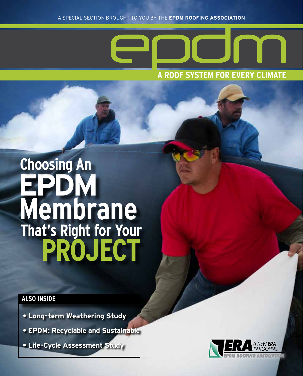

### **EPDM Membrane That's Right for Your PROJECT Choosing An**

#### **ALSO INSIDE**

- **Long-term Weathering Study**
- **EPDM: Recyclable and Sustainable**
- **Life-Cycle Assessment Study**

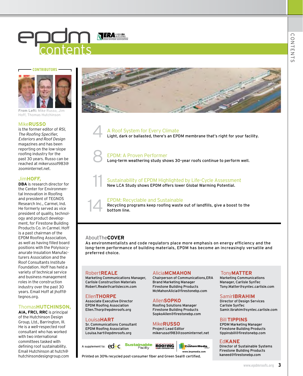# contents

#### **CONTRIBUTORS**



**From Left:** Mike Russo, Jim Hoff, Thomas Hutchinson

#### Mike**RUSSO**

is the former editor of RSI, The Roofing Specifier, Exteriors and Roof Design magazines and has been reporting on the low-slope roofing industry for the past 30 years. Russo can be reached at mikerusso1983@ zoominternet.net.

#### Jim**HOFF,**

**DBA** is research director for the Center for Environmental Innovation in Roofing and president of TEGNOS Research Inc., Carmel, Ind. He formerly served as vice president of quality, technology and product development, for Firestone Building Products Co. in Carmel. Hoff is a past chairman of the EPDM Roofing Association, as well as having filled board positions with the Polyisocyanurate Insulation Manufacturers Association and the Roof Consultants Institute Foundation. Hoff has held a variety of technical service and business management roles in the construction industry over the past 30 years. Email Hoff at jhoff@ tegnos.org.

#### Thomas**HUtchinson ,**

**AIA, FRCI, RRC** is principal of the Hutchinson Design Group, Ltd., Barrington, Ill. He is a well-respected roof consultant who has worked with two international committees tasked with defining roof sustainability. Email Hutchinson at hutch@ hutchinsondesigngroup.com



A Roof System for Every Climate<br>Light, dark or ballasted, there's an EPDM membrane that's right for your facility.

#### 8 EPDM: A Proven Performer

Long-term weathering study shows 30-year roofs continue to perform well.



#### EPDM: Recyclable and Sustainable

Recycling programs keep roofing waste out of landfills, give a boost to the bottom line.

#### AboutThe**COVER**

As environmentalists and code regulators place more emphasis on energy efficiency and the long-term performance of building materials, EPDM has become an increasingly versatile and preferred choice.

#### Robert**Reale**

Marketing Communications Manager, Carlisle Construction Materials Robert.Reale@carlisleccm.com

#### Ellen**THORPE**

Associate Executive Director EPDM Roofing Association Ellen.Thorp@epdmroofs.org

#### Louisa**HART**

Sr. Communications Consultant EPDM Roofing Association Louisa.hart@epdmroofs.org

#### Alicia**McMahon**

Chairperson of Communications,ERA Brand Marketing Manager Firestone Building Products McMahonAlicia@firestonebp.com

#### Allen**Sop ko**

Roofing Solutions Manager Firestone Building Products SopkoAllen@firestonebp.com

#### Mike**Russo**

& WATERPROOFING

Project Lead Editor mikerusso1983@zoominternet.net

**www.bnpmedia.com**

Custom Media

#### Samir.Ibrahim@syntec.carlisle.com

Bill**TIPPINS** EPDM Marketing Manager Firestone Building Products tippinsbill@firestonebp.com

Tony**Matter** Marketing Communications Manager, Carlisle SynTec Tony.Matter@syntec.carlisle.com

Samir**IBRAHIM** Director of Design Services

Carlisle SynTec

#### Ed**Kane**

Director of Sustainable Systems Firestone Building Products kaneed@firestonebp.com

Printed on 30% recycled post-consumer fiber and Green Seal® certified.

A supplement to: **ed C Sustainable Roofing** 

**www.epdmroofs.org 3**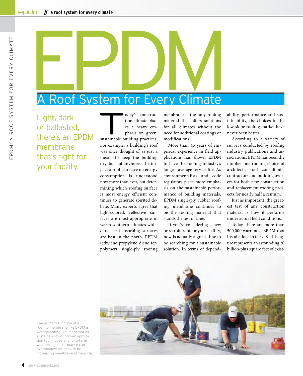# A Roof System for Every Climate

Light, dark or ballasted, there's an EPDM membrane that's right for your facility.

oday's construction climate places a heavy emphasis on green, sustainable building practices. tion climate places a heavy emphasis on green, For example, a building's roof was once thought of as just a means to keep the building dry, but not anymore. The impact a roof can have on energy consumption is understood now more than ever, but determining which roofing surface is most energy efficient continues to generate spirited debate. Many experts agree that light-colored, reflective surfaces are most appropriate in warm southern climates while dark, heat-absorbing surfaces are best in the north. EPDM (ethylene propylene diene terpolymer) single-ply roofing

membrane is the only roofing material that offers solutions for all climates without the need for additional coatings or modifications.

More than 45 years of empirical experience in field applications has shown EPDM to have the roofing industry's longest average service life. As environmentalists and code regulators place more emphasis on the sustainable performance of building materials, EPDM single-ply rubber roofing membrane continues to be the roofing material that stands the test of time.

If you're considering a new or retrofit roof for your facility, now is actually a great time to be searching for a sustainable solution. In terms of dependability, performance and sustainability, the choices in the low-slope roofing market have never been better.

According to a variety of surveys conducted by roofing industry publications and associations, EPDM has been the number one roofing choice of architects, roof consultants, contractors and building owners for both new construction and replacement roofing projects for nearly half a century.

Just as important, the greatest test of any construction material is how it performs under actual field conditions.

Today, there are more than 500,000 warranted EPDM roof installations in the U.S. This figure represents an astounding 20 billion-plus square feet of exist-

The primary function of a roofing membrane like EPDM is waterproofing. As important as sustainability is, proven application techniques and long-term weathering performance can overshadow reflectivity by increasing membrane service life.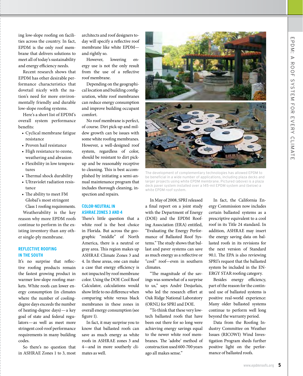ing low-slope roofing on facilities across the country. In fact, EPDM is the only roof membrane that delivers solutions to meet all of today's sustainability and energy efficiency needs.

Recent research shows that EPDM has other desirable performance characteristics that dovetail nicely with the nation's need for more environmentally friendly and durable low-slope roofing systems.

Here's a short list of EPDM's overall system performance benefits:

- • Cyclical membrane fatigue resistance
- Proven hail resistance
- High resistance to ozone, weathering and abrasion
- Flexibility in low temperatures
- Thermal shock durability
- Ultraviolet radiation resistance
- The ability to meet FM Global's most stringent Class 1 roofing requirements.

Weatherability is the key reason why more EPDM roofs continue to perform in the existing inventory than any other single-ply membrane.

#### **Reflective roofing in THE SOUTH**

It's no surprise that reflective roofing products remain the fastest growing product in warmer low-slope roofing markets. White roofs can lower energy consumption (in climates where the number of coolingdegree days exceeds the number of heating-degree days)—a key goal of state and federal regulators—as well as meet more stringent cool-roof performance requirements in many building codes.

So there's no question that in ASHRAE Zones 1 to 3, most architects and roof designers today will specify a reflective roof membrane like white EPDM and rightly so.

However, lowering energy use is not the only result from the use of a reflective roof membrane.

Depending on the geographical location and building configuration, white roof membranes can reduce energy consumption and improve building occupant comfort.

No roof membrane is perfect, of course. Dirt pick-up and mildew growth can be issues with some white roofing membranes. However, a well-designed roof system, regardless of color, should be resistant to dirt pickup and be reasonably receptive to cleaning. This is best accomplished by initiating a semi-annual maintenance program that includes thorough cleaning, inspection and repairs.

#### **Color -neutral in ASHRAE Zones 3 and 4**

There's little question that a white roof is the best choice in Florida. But across the geographic "middle" of North America, there is a neutral or gray area. This region makes up ASHRAE Climate Zones 3 and 4. In these areas, one can make a case that energy efficiency is not impacted by roof membrane color. Using the DOE Cool Roof Calculator, calculations would show little to no difference when comparing white versus black membranes in these zones in overall energy consumption (see figure 1).

In fact, it may surprise you to know that ballasted roofs can save as much energy as white roofs in ASHRAE zones 3 and 4—and in more southerly climates as well.



The development of complementary technologies has allowed EPDM to be beneficial in a wide number of applications, including plaza decks and larger projects using white EPDM membrane. Pictured (above) is a plaza deck paver system installed over a 145-mil EPDM system and (below) a white EPDM roof system.

In May of 2008, SPRI released a final report on a joint study with the Department of Energy (DOE) and the EPDM Roofing Association (ERA) entitled, "Evaluating the Energy Performance of Ballasted Roof Systems." The study shows that ballast and paver systems can save as much energy as a reflective or "cool" roof—even in southern climates.

"The magnitude of the savings was somewhat of a surprise to us," says André Desjarlais, who led the research effort at Oak Ridge National Laboratory (ORNL) for SPRI and DOE.

"To think that these very lowtech ballasted roofs that have been out there for so long were achieving energy savings equal to the newer white roof membranes. The 'adobe' method of construction used 600-700 years ago all makes sense."

In fact, the California Energy Commission now includes certain ballasted systems as a prescriptive equivalent to a cool roof in its Title 24 standard. In addition, ASHRAE may insert the energy saving data on ballasted roofs in its revisions for the next version of Standard 90.1. The EPA is also reviewing SPRI's request that the ballasted system be included in the EN-ERGY STAR roofing category.

Besides energy efficiency, part of the reason for the continued use of ballasted systems is positive real-world experience: Many older ballasted systems continue to perform well long beyond the warranty period.

Data from the Roofing Industry Committee on Weather Issues (RICOWI) Wind Investigation Program sheds further positive light on the performance of ballasted roofs.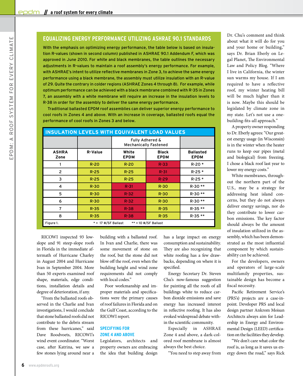#### **EQUALIZING ENERGY PERFORMANCE UTILIZING ASHRAE 90.1 STANDARDS**

With the emphasis on optimizing energy performance, the table below is based on insulation R-values (shown in second column) published in ASHRAE 90.1 Addendum F, which was approved in June 2010. For white and black membranes, the table outlines the necessary adjustments in R-values to maintain a roof assembly's energy performance. For example, with ASHRAE's intent to utilize reflective membranes in Zone 3, to achieve the same energy performance using a black membrane, the assembly must utilize insulation with an R-value of 29. Quite the contrary in colder regions (ASHRAE Zones 4 through 8). For example, while optimum performance can be achieved with a black membrane combined with R-35 in Zones 7, an assembly with a white membrane will require an increase in the insulation levels to R-38 in order for the assembly to deliver the same energy performance.

Traditional ballasted EPDM roof assemblies can deliver superior energy performance to cool roofs in Zones 4 and above. With an increase in coverage, ballasted roofs equal the performance of cool roofs in Zones 3 and below.

| <b>INSULATION LEVELS WITH EQUIVALENT LOAD VALUES</b>     |          |                                                            |                             |                                 |  |  |
|----------------------------------------------------------|----------|------------------------------------------------------------|-----------------------------|---------------------------------|--|--|
|                                                          |          | <b>Fully Adhered &amp;</b><br><b>Mechanically Fastened</b> |                             |                                 |  |  |
| <b>ASHRA</b><br>Zone                                     | R-Value  | White<br><b>EPDM</b>                                       | <b>Black</b><br><b>EPDM</b> | <b>Ballasted</b><br><b>EPDM</b> |  |  |
|                                                          | $R - 20$ | $R-20$                                                     | $R-33$                      | $R - 20$ *                      |  |  |
| $\overline{2}$                                           | $R-25$   | $R-25$                                                     | $R - 31$                    | $R-25*$                         |  |  |
| 3                                                        | $R - 25$ | $R-25$                                                     | $R - 29$                    | $R-25*$                         |  |  |
| 4                                                        | $R-30$   | $R - 31$                                                   | $R-30$                      | R-30 **                         |  |  |
| 5                                                        | $R-30$   | $R - 32$                                                   | $R-30$                      | R-30 **                         |  |  |
| 6                                                        | $R-30$   | $R - 32$                                                   | $R-30$                      | R-30 **                         |  |  |
| 7                                                        | $R-35$   | $R-38$                                                     | $R-35$                      | $R - 35$ **                     |  |  |
| 8                                                        | $R-35$   | $R-38$                                                     | $R-35$                      | $R - 35$ **                     |  |  |
| * = 17 #/SF Ballast<br>** = 10 #/SF Ballast<br>Figure 1. |          |                                                            |                             |                                 |  |  |

Dr. Chu's comment and think about what it will do for you and your home or building," says Dr. Brian Eberly on Legal Planet, The Environmental Law and Policy Blog. "Where I live in California, the winter sun warms my house. If I am required to have a reflective roof, my winter heating bill will be much higher than it is now. Maybe this should be legislated by climate zone in my state. Let's not use a onebuilding-fits-all approach."

A property owner responding to Dr. Eberly agrees: "Our greatest energy usage (in Wisconsin) is in the winter when the heater runs to keep our pipes (metal and biological) from freezing. I chose a black roof last year to lower my energy costs."

White membranes, throughout the northern part of the U.S., may be a strategy for addressing heat island concerns, but they do not always deliver energy savings, nor do they contribute to lower carbon emissions. The key factor should always be the amount of insulation utilized in the assembly, which has been demonstrated as the most influential component by which sustainability can be achieved.

For the developers, owners and operators of large-scale multifamily properties, sustainable design has become a fiscal necessity.

Pacific Retirement Service's (PRS's) projects are a case-inpoint. Developer PRS and local design partner Ankrom Moisan Architects always aim for Leadership in Energy and Environmental Design (LEED) certification on the facilities they develop.

"We don't care what color the roof is, as long as it saves us energy down the road," says Rick

RICOWI inspected 93 lowslope and 91 steep-slope roofs in Florida in the immediate aftermath of Hurricane Charley in August 2004 and Hurricane Ivan in September 2004. More than 50 experts examined roof shape, materials, edge conditions, installation details and degree of deterioration, if any.

"From the ballasted roofs observed in the Charlie and Ivan investigations, I would conclude that stone ballasted roofs did not contribute to the debris stream from these hurricanes," said Dave Roodvoets, RICOWI's wind event coordinator. "Worst case, after Katrina, we saw a few stones lying around near a building with a ballasted roof. In Ivan and Charlie, there was some movement of stone on the roof, but the stone did not blow off the roof, even when the building height and wind zone requirements did not comply with local codes."

Poor workmanship and improper materials and specifications were the primary causes of roof failures in Florida and on the Gulf Coast, according to the RICOWI report.

#### **SPECIFYING FOR Zone 4 and above**

Legislators, architects and property owners are embracing the idea that building design has a large impact on energy consumption and sustainability. They are also recognizing that white roofing has a few drawbacks, depending on where it is specified.

Energy Secretary Dr. Steven Chu's now-famous suggestion for painting all the roofs of all buildings white to reduce carbon dioxide emissions and save energy has increased interest in reflective roofing. It has also evoked widespread debate within the scientific community.

Especially in ASHRAE Zone 4 and above, a dark-colored roof membrane is almost always the best choice.

"You need to step away from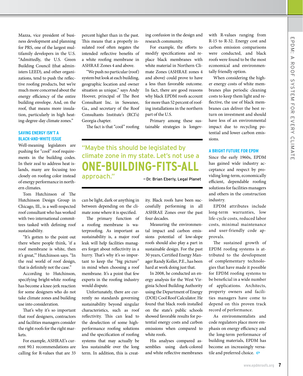Mazza, vice president of business development and planning for PRS, one of the largest multifamily developers in the U.S. "Admittedly, the U.S. Green Building Council (that administers LEED), and other organizations, tend to push the reflective roofing products, but we're much more concerned about the energy efficiency of the entire building envelope. And, on the roof, that means more insulation, particularly in high heating-degree-day climate zones."

#### **SAVING ENERGY ISN'T A blac k-and -white issue**

Well-meaning legislators are pushing for "cool" roof requirements in the building codes. In their zeal to address heat islands, many are focusing too closely on roofing color instead of energy performance in northern climates.

Tom Hutchinson of The Hutchinson Design Group in Chicago, Ill., is a well-respected roof consultant who has worked with two international committees tasked with defining roof sustainability.

"It's gotten to the point out there where people think, 'if a roof membrane is white, then it's great,'" Hutchinson says. "In the real world of roof design, that is definitely not the case."

According to Hutchinson, specifying bright-white roofing has become a knee-jerk reaction for some designers who do not take climate zones and building use into consideration.

That's why it's so important that roof designers, contractors and facilities managers consider the right roofs for the right markets.

For example, ASHRAE's current 90.1 recommendations are calling for R-values that are 33

percent higher than in the past. This means that a properly insulated roof often negates the intended reflective benefits of a white roofing membrane in ASHRAE Zones 4 and above.

"We push no particular (roof) system but look at each building, geographic location and owner situation as unique," says Andy Hoover, principal of The Best Consultant Inc. in Suwanee, Ga., and secretary of the Roof Consultants Institute's (RCI's) Georgia chapter.

The fact is that "cool" roofing

#### "Maybe this should be legislated by climate zone in my state. Let's not use a **one-building-fits-all** approach." —Dr. Brian Eberly, Legal Planet

can be light, dark or anything in between depending on the climate zone where it is specified.

The primary function of a roofing membrane is waterproofing. As important as sustainability is, a major roof leak will help facilities managers forget about reflectivity in a hurry. That's why it's so important to keep the "big picture" in mind when choosing a roof membrane. It's a point that few experts in the roofing industry would dispute.

Unfortunately, there are currently no standards governing sustainability beyond singular characteristics, such as roof reflectivity. This can lead to the deselection of some highperformance roofing solutions and the specification of roofing systems that may actually be less sustainable over the long term. In addition, this is creatity. Black roofs have been successfully performing in all ASHRAE Zones over the past four decades.

ing confusion in the design and

For example, the efforts to modify specifications and replace black membranes with white material in Northern Climate Zones (ASHRAE zones 4 and above) could prove to have a less than favorable outcome. In fact, there are good reasons why black EPDM roofs account for more than 52 percent of roofing installations in the northern

Primary among these sustainable strategies is longev-

research community.

part of the U.S.

Measuring the environmental impact and carbon emissions potential of low-slope roofs should also play a part in sustainable design. For the past 30 years, Certified Energy Manager Randy Koller, P.E., has been hard at work doing just that.

In 2008, he conducted an energy analysis for the West Virginia School Building Authority using the Department of Energy (DOE) Cool Roof Calculator. He found that black roofs installed on the state's public schools showed favorable results for potential energy costs and carbon emissions when compared to white roofs.

His analyses compared assemblies using dark-colored and white reflective membranes with R-values ranging from R-15 to R-32. Energy cost and carbon emission comparisons were conducted, and black roofs were found to be the most economical and environmentally friendly option.

When considering the higher energy costs of white membranes plus periodic cleaning costs to keep them light and reflective, the use of black membranes can deliver the best return on investment and should have less of an environmental impact due to recycling potential and lower carbon emissions.

#### **A bright future for EPDM**

Since the early 1960s, EPDM has gained wide industry acceptance and respect by providing long-term, economically efficient, dependable roofing solutions for facilities managers and others in the construction industry.

EPDM attributes include long-term warranties, low life-cycle costs, reduced labor costs, minimal maintenance and user-friendly code approvals.

The sustained growth of EPDM roofing systems is attributed to the development of complementary technologies that have made it possible for EPDM roofing systems to be beneficial in a wide number of applications. Architects, property owners and facilities managers have come to depend on this proven track record of performance.

As environmentalists and code regulators place more emphasis on energy efficiency and the long-term performance of building materials, EPDM has become an increasingly versatile and preferred choice.  $\in$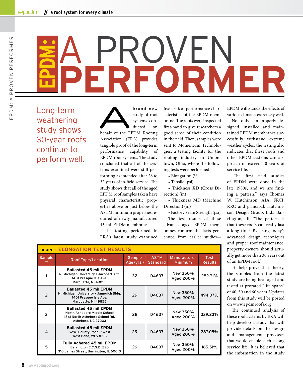## **PERFORMER** A PROVEN **EPDM:**

Long-term weathering study shows 30-year roofs continue to perform well.

brand-new<br>study of roof<br>systems con-<br>behalf of the EPDM Roofing study of roof systems conducted on Association (ERA) provides tangible proof of the long-term performance capability of EPDM roof systems. The study concluded that all of the systems examined were still performing as intended after 28 to 32 years of in-field service. The study shows that all of the aged EPDM roof samples taken have physical characteristic properties above or just below the ASTM minimum properties required of newly manufactured 45-mil EPDM membrane.

The testing performed in ERA's latest study examined five critical performance characteristics of the EPDM membrane. The roofs were inspected first-hand to give researchers a good sense of their condition in the field. Then, samples were sent to Momentum Technologies, a testing facility for the roofing industry in Uniontown, Ohio, where the following tests were performed:

- Elongation (%) • Tensile (psi)
- Thickness XD (Cross Di-
- rection) (in)

• Thickness MD (Machine Direction) (in)

• Factory Seam Strength (psi)

The test results of these advanced-aged EPDM membranes confirm the facts generated from earlier studiesEPDM withstands the effects of various climates extremely well.

Not only can properly designed, installed and maintained EPDM membranes successfully withstand extreme weather cycles, the testing also indicates that these roofs and other EPDM systems can approach or exceed 40 years of service life.

"The first field studies of EPDM were done in the late 1980s, and we are finding a pattern," says Thomas W. Hutchinson, AIA, FRCI, RRC and principal, Hutchinson Design Group, Ltd., Barrington, Ill. "The pattern is that these roofs can really last a long time. By using today's advanced design techniques and proper roof maintenance, property owners should actually get more than 30 years out of an EPDM roof."

To help prove that theory, the samples from the latest study are being heat-aged and tested at prorated "life spans" of 40, 50 and 60 years. Updates from this study will be posted on www.epdmroofs.org.

The continued analysis of these roof systems by ERA will help develop a study that will provide details on the design and management processes that would enable such a long service life. It is believed that the information in the study

| <b>FIGURE 1. ELONGATION TEST RESULTS</b> |                                                                                                                          |                             |                                |                                       |                               |  |
|------------------------------------------|--------------------------------------------------------------------------------------------------------------------------|-----------------------------|--------------------------------|---------------------------------------|-------------------------------|--|
| Sample<br>#                              | <b>Roof Type/Location</b>                                                                                                | <b>Sample</b><br>Age (yrs.) | <b>ASTM</b><br><b>Standard</b> | <b>Manufacturer</b><br><b>Minimum</b> | <b>Test</b><br><b>Results</b> |  |
|                                          | <b>Ballasted 45 mil EPDM</b><br>N. Michigan University • Jacobetti Ctr.<br>1401 Presque Isle Ave.<br>Marquette, MI 49855 | 32                          | D4637                          | New 350%<br>Aged 200%                 | 252.71%                       |  |
| $\overline{2}$                           | <b>Ballasted 45 mil EPDM</b><br>N. Michigan University . Jamerich Bldg.<br>1401 Presque Isle Ave.<br>Marquette, MI 49855 | 29                          | D4637                          | New 350%<br>Aged 200%                 | 494.07%                       |  |
| 3                                        | <b>Ballasted 45 mil EPDM</b><br>North Asheboro Middle School<br>1861 North Asheboro School Rd.<br>Asheboro, NC 27203     | 28                          | D4637                          | New 350%<br>Aged 200%                 | 339.23%                       |  |
| 4                                        | <b>Ballasted 45 mil EPDM</b><br>5296 County Road P West<br>West Bend, WI 53095                                           | 29                          | D4637                          | New 350%<br>Aged 200%                 | 287.05%                       |  |
| 5                                        | Fully Adhered 45 mil EPDM<br>Barrington C.C.S.D. 220<br>310 James Street, Barrington, IL 60010                           | 29                          | D4637                          | New 350%<br>Aged 200%                 | 165.51%                       |  |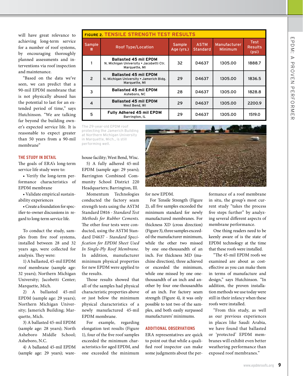will have great relevance to achieving long-term service for a number of roof systems, by encouraging thoroughly planned assessments and interventions via roof inspection and maintenance.

"Based on the data we've seen, we can predict that a 90-mil EPDM membrane that is not physically abused has the potential to last for an extended period of time," says Hutchinson. "We are talking far beyond the building owner's expected service life. It is reasonable to expect greater than 50 years from a 90-mil membrane"

#### **The study in detail**

The goals of ERA's long-term service life study were to:

• Verify the long-term performance characteristics of EPDM membrane

• Validate empirical sustainability experiences

•Create a foundation forspecifier-to-owner discussions in regard to long-term service life.

To conduct the study, samples from five roof systems, installed between 28 and 32 years ago, were collected for analysis. They were:

1)Aballasted, 45-mil EPDM roof membrane (sample age: 32 years); Northern Michigan University; Jacobetti Center; Marquette, Mich.

2) A ballasted 45-mil EPDM (sample age: 29 years); Northern Michigan University; Jamerich Building; Marquette, Mich.

3) A ballasted 45-mil EPDM (sample age: 28 years); North Asheboro Middle School; Asheboro, N.C.

4) A ballasted 45-mil EPDM (sample age: 29 years); ware-

| <b>FIGURE 2. TENSILE STRENGTH TEST RESULTS</b> |                                                                                          |                      |                                |                         |                                 |  |
|------------------------------------------------|------------------------------------------------------------------------------------------|----------------------|--------------------------------|-------------------------|---------------------------------|--|
| <b>Sample</b><br>#                             | <b>Roof Type/Location</b>                                                                | Sample<br>Age (yrs.) | <b>ASTM</b><br><b>Standard</b> | Manufacturer<br>Minimum | Test<br><b>Results</b><br>(psi) |  |
|                                                | <b>Ballasted 45 mil EPDM</b><br>N. Michigan University . Jacobetti Ctr.<br>Marquette, MI | 32                   | D4637                          | 1305.00                 | 1888.7                          |  |
| $\overline{2}$                                 | <b>Ballasted 45 mil EPDM</b><br>N. Michigan University . Jamerich Bldg.<br>Marquette, MI | 29                   | D4637                          | 1305.00                 | 1836.5                          |  |
| 3                                              | <b>Ballasted 45 mil EPDM</b><br>Asheboro, NC                                             | 28                   | D4637                          | 1305.00                 | 1828.8                          |  |
| $\overline{a}$                                 | <b>Ballasted 45 mil EPDM</b><br>West Bend, WI                                            | 29                   | D4637                          | 1305.00                 | 2200.9                          |  |
| 5                                              | Fully Adhered 45 mil EPDM<br>Barrington, IL                                              | 29                   | D4637                          | 1305.00                 | 1519.0                          |  |

The 29-year-old EPDM roof protecting the Jamerich Building at Northern Michigan University in Marquette, Mich., is still performing well.

house facility; West Bend, Wisc. 5) A fully adhered 45-mil EPDM (sample age: 29 years); Barrington Combined Community School District 220 Headquarters; Barrington, Ill.

Momentum Technologies conducted the factory seam strength tests using the ASTM Standard D816 - *Standard Test Methods for Rubber Cements.*  The other four tests were conducted, using the ASTM Standard D4637 - *Standard Specification for EPDM Sheet Used In Single-Ply Roof Membrane.*  In addition, manufacturer minimum physical properties for new EPDM were applied to the results.

Those results showed that all of the samples had physical characteristic properties above or just below the minimum physical characteristics of a newly manufactured 45-mil EPDM membrane.

For example, regarding elongation test results (Figure 1), four of the five roof samples exceeded the minimum characteristics for aged EPDM, and one exceeded the minimum



for new EPDM.

For Tensile Strength (Figure 2), all five samples exceeded the minimum standard for newly manufactured membranes. For thickness XD (cross direction) (Figure 3), three samples exceeded the manufacturer minimum, while the other two missed by one one-thousandth of an inch. For thickness MD (machine direction), three achieved or exceeded the minimum, while one missed by one onethousandth of an inch and another by four one-thousandths of an inch. For factory seam strength (Figure 4), it was only possible to test two of the samples, and both easily surpassed manufacturers' minimums.

#### **Additional observations**

ERA representatives are quick to point out that while a qualified roof inspector can make some judgments about the performance of a roof membrane in situ, the group's most current study "takes the process five steps further" by analyzing several different aspects of membrane performance.

One thing readers need to be keenly aware of is the state of EPDM technology at the time that these roofs were installed.

"The 45-mil EPDM roofs we examined are about as costeffective as you can make them in terms of manufacture and design," says Hutchinson. "In addition, the proven installation methods we use today were still in their infancy when these roofs were installed.

"From this study, as well as our previous experiences in places like Saudi Arabia, we have found that ballasted or 'protected' EPDM membranes will exhibit even better weathering performance than exposed roof membranes."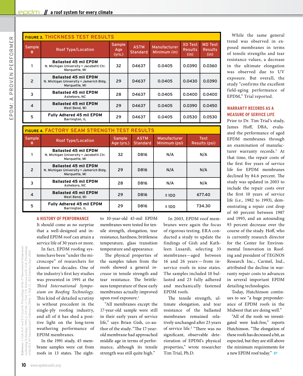| <b>FIGURE 3. THICKNESS TEST RESULTS</b> |                                                                                          |                         |                                |                              |                                          |                                          |  |
|-----------------------------------------|------------------------------------------------------------------------------------------|-------------------------|--------------------------------|------------------------------|------------------------------------------|------------------------------------------|--|
| <b>Sample</b><br>#                      | <b>Roof Type/Location</b>                                                                | Sample<br>Age<br>(yrs.) | <b>ASTM</b><br><b>Standard</b> | Manufacturer<br>Minimum (in) | <b>XD Test</b><br><b>Results</b><br>(in) | <b>MD Test</b><br><b>Results</b><br>(in) |  |
|                                         | <b>Ballasted 45 mil EPDM</b><br>N. Michigan University . Jacobetti Ctr.<br>Marquette, MI | 32                      | D4637                          | 0.0405                       | 0.0390                                   | 0.0360                                   |  |
| $\overline{2}$                          | <b>Ballasted 45 mil EPDM</b><br>N. Michigan University . Jamerich Bldg.<br>Marquette, MI | 29                      | D4637                          | 0.0405                       | 0.0430                                   | 0.0390                                   |  |
| 3                                       | <b>Ballasted 45 mil EPDM</b><br>Asheboro, NC                                             | 28                      | D4637                          | 0.0405                       | 0.0400                                   | 0.0400                                   |  |
| $\overline{4}$                          | <b>Ballasted 45 mil EPDM</b><br>West Bend, WI                                            | 29                      | D4637                          | 0.0405                       | 0.0390                                   | 0.0450                                   |  |
| 5                                       | <b>Fully Adhered 45 mil EPDM</b><br>Barrington, IL                                       | 29                      | D4637                          | 0.0405                       | 0.0530                                   | 0.0530                                   |  |

| <b>FIGURE 4. FACTORY SEAM STRENGTH TEST RESULTS</b> |                                                                                          |                             |                                |                               |                              |  |  |
|-----------------------------------------------------|------------------------------------------------------------------------------------------|-----------------------------|--------------------------------|-------------------------------|------------------------------|--|--|
| Sample<br>#                                         | <b>Roof Type/Location</b>                                                                | <b>Sample</b><br>Age (yrs.) | <b>ASTM</b><br><b>Standard</b> | Manufacturer<br>Minimum (psi) | <b>Test</b><br>Results (psi) |  |  |
|                                                     | <b>Ballasted 45 mil EPDM</b><br>N. Michigan University . Jacobetti Ctr.<br>Marquette, MI | 32                          | D816                           | N/A                           | N/A                          |  |  |
| $\overline{2}$                                      | <b>Ballasted 45 mil EPDM</b><br>N. Michigan University . Jamerich Bldg.<br>Marquette, MI | 29                          | D816                           | N/A                           | N/A                          |  |  |
| 3                                                   | <b>Ballasted 45 mil EPDM</b><br>Asheboro, NC                                             | 28                          | D816                           | N/A                           | N/A                          |  |  |
| 4                                                   | <b>Ballasted 45 mil EPDM</b><br>West Bend, WI                                            | 29                          | D816                           | ±100                          | 677.40                       |  |  |
| 5                                                   | Fully Adhered 45 mil EPDM<br>Barrington, IL                                              | 29                          | D816                           | ± 100                         | 734.30                       |  |  |

#### **A history of performance**

It should come as no surprise that a well-designed and installed EPDM roof can attain a service life of 30 years or more.

In fact, EPDM roofing systems have been "under the microscope" of researchers for almost two decades. One of the industry's first key studies was presented in 1991 at the *Third International Symposium on Roofing Technology.*  This kind of detailed scrutiny is without precedent in the single-ply roofing industry, and all of it has shed a positive light on the long-term weathering performance of EPDM membranes.

In the 1991 study, 45 membrane samples were cut from roofs in 13 states. The eightto 10-year-old 45-mil EPDM membranes were tested for tensile strength, elongation, tear resistance, hardness, brittleness temperature, glass transition temperature and appearance.

The physical properties of the samples taken from the roofs showed a general *increase* in tensile strength and tear resistance. The brittleness temperature of these early membranes actually improved upon roof exposure.<sup>1</sup>

"All membranes except the 17-year-old sample were still in their early years of service life," says Brian Gish, co-author of the study. "The 17-yearold membrane had approached middle age in terms of performance, although its tensile strength was still quite high."

In 2003, EPDM roof membranes were again the focus of rigorous testing. ERA conducted a study to update the findings of Gish and Kathleen Lusardi, selecting 33 membranes—aged between 16 and 26 years — from inservice roofs in nine states. The samples included 10 ballasted and 23 fully adhered and mechanically fastened EPDM roofs.

The tensile strength, ultimate elongation, and tear resistance of the ballasted membranes remained relatively unchanged after 23 years of service life.<sup>2</sup> "There was no significant, observable deterioration of EPDM's physical properties," wrote researcher Tim Trial, Ph.D.

While the same general trend was observed in exposed membranes in terms of tensile strengths and tear resistance values, a decrease in the ultimate elongation was observed due to UV exposure. But overall, the study "confirms the excellent field-aging performance of EPDM," Trial reported.

#### **Warranty records as a measure of service life**

Prior to Dr. Tim Trial's study, James Hoff, DBA, evaluated the performance of aged EPDM membranes through an examination of manufacturer warranty records.<sup>3</sup> At that time, the repair costs of the first five years of service life for EPDM membranes declined by 84.6 percent. The study was updated in 2003 to include the repair costs over the first 10 years of service life (i.e., 1982 to 1993), demonstrating a repair cost drop of 60 percent between 1987 and 1993, and an astounding 93 percent decrease over the course of the study. Hoff, who is currently research director for the Center for Environmental Innovation in Roofing and president of TEGNOS Research Inc., Carmel, Ind., attributed the decline in warranty repair costs to advances in several important EPDM detailing technologies.

Today, Hutchinson continues to see "a huge preponderance of EPDM roofs in the Midwest that are doing well."

"All of the roofs we investigated were leak-free," reports Hutchinson. "The elongation of these roofs has decreased a bit, as expected, but they are still above the minimum requirements for a new EPDM roof today."  $\ominus$ 

*References: 1. Gish, B.D. and K.P. Lusardi,* Proceedings of the 3rd International Symposium on Roofing Technology *(1991), p. 159-166.; 2. Trial, T.R. Robinson and B. Gish,* Proceedings of the RCI 19<sup>th</sup> International Conference *(2004)*, 3. Hoff, J.L., RCI Interface *(Sept. 2003).* 

md

nces:<br>ofing the RCI

Lusardi, Proceedings of the 3<sup>nd</sup> International Symposium<br>159-166.; 2. Trial, T.R. R*obinson and B. Gish*, Proceedings<br>ference (2004); 3. Hoff, J.L., RCI Interface (Se*pt. 2*003).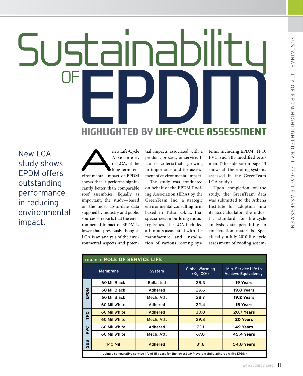# Sustainability **Highlighted by Life-Cycle Assessment**

New LCA study shows EPDM offers outstanding performance in reducing environmental impact.

new Life-Cycle<br>
Assessment,<br>
or LCA, of the<br>
long-term en-<br>
vironmental impact of EPDM Assessment, or LCA, of the long-term enshows that it performs significantly better than comparable roof assemblies. Equally as important, the study—based on the most up-to-date data supplied by industry and public sources—reports that the environmental impact of EPDM is lower than previously thought. LCA is an analysis of the environmental aspects and poten-

tial impacts associated with a product, process, or service. It is also a criteria that is growing in importance and for assessment of environmental impact.

The study was conducted on behalf of the EPDM Roofing Association (ERA) by the GreenTeam, Inc., a strategic environmental consulting firm based in Tulsa, Okla., that specializes in building industry issues. The LCA included all inputs associated with the manufacture and installation of various roofing systems, including EPDM, TPO, PVC and SBS modified bitumen. (The sidebar on page 13 shows all the roofing systems assessed in the GreenTeam LCA study.)

Upon completion of the study, the GreenTeam data was submitted to the Athena Institute for adoption into its EcoCalculator, the industry standard for life-cycle analysis data pertaining to construction materials. Specifically, a July 2010 life-cycle assessment of roofing assem-

| <b>FIGURE 1. ROLE OF SERVICE LIFE</b> |                                                                                                    |                  |                                                 |                                                          |  |  |  |
|---------------------------------------|----------------------------------------------------------------------------------------------------|------------------|-------------------------------------------------|----------------------------------------------------------|--|--|--|
|                                       | Membrane                                                                                           | System           | <b>Global Warming</b><br>(Kq, CO <sup>2</sup> ) | Min. Service Life to<br>Achieve Equivalency <sup>1</sup> |  |  |  |
|                                       | 60 Mil Black                                                                                       | <b>Ballasted</b> | 28.3                                            | 19 Years                                                 |  |  |  |
| Σ                                     | 60 Mil Black                                                                                       | Adhered          | 29.6                                            | 19.8 Years                                               |  |  |  |
| Δ.<br>ш                               | 60 Mil Black                                                                                       | Mech. Att.       | 28.7                                            | 19.2 Years                                               |  |  |  |
|                                       | 60 Mil White                                                                                       | Adhered          | 22.4                                            | 15 Years                                                 |  |  |  |
| <b>PO</b>                             | 60 Mil White                                                                                       | Adhered          | 30.0                                            | 20.7 Years                                               |  |  |  |
|                                       | 60 Mil White                                                                                       | Mech. Att.       | 29.8                                            | 20 Years                                                 |  |  |  |
| <b>PYC</b>                            | 60 Mil White                                                                                       | Adhered          | 73.1                                            | 49 Years                                                 |  |  |  |
|                                       | 60 Mil White                                                                                       | Mech. Att.       | 67.8                                            | 45.4 Years                                               |  |  |  |
| BS<br><b>SC</b>                       | <b>140 Mil</b>                                                                                     | Adhered          | 81.8                                            | 54.8 Years                                               |  |  |  |
|                                       | 'Using a comparative service life of 15 years for the lowest GWP system (fully adhered white EPDM) |                  |                                                 |                                                          |  |  |  |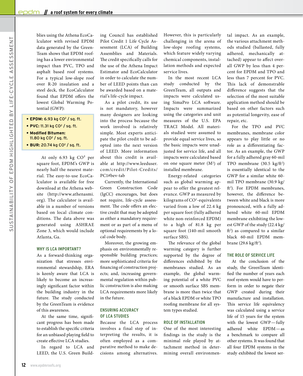blies using the Athena EcoCalculator with revised EPDM data generated by the Green-Team shows that EPDM roofing has a lower environmental impact than PVC, TPO and asphalt based roof systems. For a typical low-slope roof over R-20 insulation and a steel deck, the EcoCalculator found that EPDM offers the lowest Global Warming Potential (GWP):

- **• EPDM:** 6.93 kg CO2 / sq. ft.
- **• PVC:** 11.31 kg CO2 / sq. ft.
- **• Modified Bitumen:**  11.80 kg CO<sup>2</sup> / sq. ft.
- **• BUR:** 20.74 kg CO2 / sq. ft.

At only 6.93 kg CO² per square foot, EPDM's GWP is nearly half the nearest material. The easy-to-use EcoCalculator is available for free download at the Athena website (http://www.athenasmi. org). The calculator is available in a number of versions based on local climate conditions. The data above was generated using ASHRAE Zone 3, which would include Atlanta, Ga.

#### **Why is LCA important?**

As a forward-thinking organization that stresses environmental stewardship, ERA is keenly aware that LCA is likely to become an increasingly significant factor within the building industry in the future. The study conducted by the GreenTeam is evidence of this awareness.

At the same time, significant progress has been made to establish the specific criteria for an unbiased playing field to create effective LCA studies.

In regard to LCA and LEED, the U.S. Green Building Council has established Pilot Credit 1 Life Cycle Assessment (LCA) of Building Assemblies and Materials. The credit specifically calls for the use of the Athena Impact Estimator and EcoCalculator in order to calculate the number of LEED points than can be awarded based on a material's life-cycle impact.

As a pilot credit, its use is not mandatory, however many designers are looking into the process because the work involved is relatively simple. Most experts anticipate the pilot credit to be adopted into the next version of LEED. More information about this credit is available at http://www.leeduser. com/credit/Pilot-Credits/ PC1#bev-tab

Currently, the International Green Construction Code (IgCC) encourages, but does not require, life-cycle assessment. The code offers an elective credit that may be adopted as either a mandatory requirement or as part of a menu of optional requirements by a local code body.

Moreover, the growing emphasis on environmentally responsible building practices; more sophisticated criteria for financing of construction projects; and, increasing governmental regulation within public construction is also making LCA requirements more likely in the future.

#### **ENSURING ACCURACY of LCA studies**

Because the LCA process involves a final step of interpreting the results, it is often employed as a comparative method to make decisions among alternatives.

However, this is particularly challenging in the arena of low-slope roofing systems, which feature widely varying chemical components, installation methods and expected service lives.

In the most recent LCA study conducted by the GreenTeam, all outputs and impacts were calculated using SimaPro LCA software. Impacts were summarized using the categories and unit measures of the U.S. EPA TRACI Model. All materials studied were assumed to provide equal service lives, so the basic impacts were unadjusted for service life, and all impacts were calculated based on one square meter  $(M^2)$  of installed membrane.

Energy-related categories such as global warming appear to offer the greatest relevance. GWP as measured by kilograms of CO<sup>2</sup> -equivalents varied from a low of 22.4 kg per square foot (fully adhered white non-reinforced EPDM) to a high of 81.8 kg per square foot (140-mil smooth surface SBS).

The relevance of the global warming category is further supported by the degree of differences exhibited by the membranes studied. As an example, the global warming potential of a white PVC or smooth surface SBS membrane is more than twice that of a black EPDM or white TPO roofing membrane for all system types studied.

#### **Role of installation**

One of the most interesting findings in the study is the minimal role played by attachment method in determining overall environmental impact. As an example, the various attachment methods studied (ballasted, fully adhered, mechanically attached) appear to affect overall GWP by less than 4 percent for EPDM and TPO and less than 7 percent for PVC. This lack of demonstrable difference suggests that the selection of the most suitable application method should be based on other factors such as potential longevity, ease of repair, etc.

For the TPO and PVC membranes, membrane color appears to play little or no role as a differentiating factor. As an example, the GWP for a fully adhered gray 60-mil TPO membrane (30.5 kg/ft<sup>2</sup>) is essentially identical to the GWP for a similar white 60 mil TPO membrane (30.9 kg/ ft<sup>2</sup>). For EPDM membranes, however, the difference between white and black is more pronounced, with a fully adhered white 60-mil EPDM membrane exhibiting the lowest GWP of the study (22.4 kg/ ft2 ) as compared to a similar black 60-mil EPDM membrane (29.6 kg/ft<sup>2</sup>).

#### **The role of service life**

At the conclusion of the study, the GreenTeam identified the number of years each roof system would have to perform in order to negate their GWP created during their manufacture and installation. This service life equivalency was calculated using a service life of 15 years for the system with the lowest GWP—fully adhered white EPDM—as a benchmark to compare all other systems. It was found that all four EPDM systems in the study exhibited the lowest ser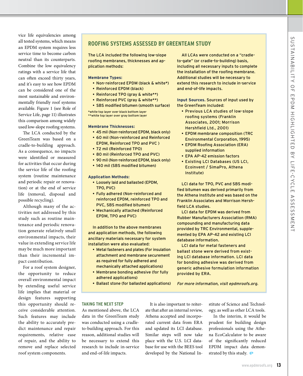vice life equivalencies among all tested systems, which means an EPDM system requires less service time to become carbon neutral than its counterparts. Combine the low equivalency ratings with a service life that can often exceed thirty years, and it's easy to see how EPDM can be considered one of the most sustainable and environmentally friendly roof systems available. Figure 1 (see Role of Service Life, page 11) illustrates this comparison among widely used low-slope roofing systems.

The LCA conducted by the GreenTeam was based on a cradle-to-building approach. As a consequence, no impacts were identified or measured for activities that occur during the service life of the roofing system (routine maintenance and periodic repair or renovation) or at the end of service life (removal, disposal and possible recycling).

Although many of the activities not addressed by this study such as routine maintenance and periodic renovation generate relatively small environmental impacts, their value in extending service life may be much more important than their incremental impact contribution.

For a roof system designer, the opportunity to reduce overall environmental impact by extending useful service life implies that material or design features supporting this opportunity should receive considerable attention. Such features may include the ability to accurately predict maintenance and repair requirements, relative ease of repair, and the ability to remove and replace selected roof system components.

#### **Roofin g Systems Assessed by GreenTeam Study**

The LCA included the following low-slope roofing membranes, thicknesses and application methods:

#### **Membrane Types:**

- Non-reinforced EPDM (black & white\*)
- Reinforced EPDM (black)
- Reinforced TPO (gray & white\*\*)
- Reinforced PVC (gray & white\*\*)
- SBS modified bitumen (smooth surface)

\*white top layer over black bottom layer \*\*white top layer over gray bottom layer

**Membrane Thicknesses:**

- 45 mil (Non-reinforced EPDM, black only)
- 60 mil (Non-reinforced and Reinforced EPDM, Reinforced TPO and PVC )
- 72 mil (Reinforced TPO)
- 80 mil (Reinforced TPO and PVC)
- 90 mil (Non-reinforced EPDM, black only)
- 140 mil (SBS modified bitumen)

#### **Application Methods:**

- Loosely laid and ballasted (EPDM, TPO, PVC)
- Fully adhered (Non-reinforced and reinforced EPDM, reinforced TPO and PVC, SBS modified bitumen)
- Mechanically attached (Reinforced EPDM, TPO and PVC)

In addition to the above membranes and application methods, the following ancillary materials necessary for system installation were also evaluated:

- Metal fasteners and plates (For insulation attachment and membrane securement as required for fully adhered and mechanically attached applications)
- Membrane bonding adhesive (for fully adhered applications)
- Ballast stone (for ballasted applications)

All LCAs were conducted on a "cradleto-gate" (or cradle-to-building) basis, including all necessary inputs to complete the installation of the roofing membrane. Additional studies will be necessary to extend this research to include in-service and end-of-life impacts.

**Input Sources.** Sources of input used by the GreenTeam included:

- Previous LCA studies of low-slope roofing systems (Franklin Associates, 2001; Morrison Hershfield Ltd., 2001)
- EPDM membrane composition (TRC Environmental Corporation, 1995)
- EPDM Roofing Association (ERA) supplied information
- EPA AP-42 emission factors
- Existing LCI Databases (US LCI, Ecoinvent / SimaPro, Athena Institute)

LCI data for TPO, PVC and SBS modified bitumen was derived primarily from the Athena Institute and was based on the Franklin Associates and Morrison Hershfield LCA studies.

LCI data for EPDM was derived from Rubber Manufacturers Association (RMA) compounding and manufacturing data provided by TRC Environmental, supplemented by EPA AP-42 and existing LCI database information.

LCI data for metal fasteners and ballast stone were derived from existing LCI database information. LCI data for bonding adhesive was derived from generic adhesive formulation information provided by ERA.

For more information, visit epdmroofs.org.

#### **Takin g the next step**

As mentioned above, the LCA data in the GreenTeam study was conducted using a cradleto-building approach. For this reason, additional studies will be necessary to extend this research to include in-service and end-of-life impacts.

It is also important to reiterate that after an internal review, Athena accepted and incorporated current data from ERA and updated its LCI database. Similar steps will now take place with the U.S. LCI database for use with the BEES tool developed by the National Institute of Science and Technology, as well as other LCA tools.

In the interim, it would be prudent for building design professionals using the Athena EcoCalculator to be aware of the significantly reduced EPDM impact data demonstrated by this study.  $\ominus$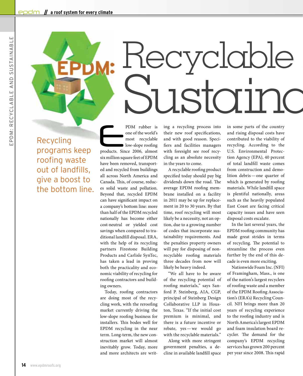Recycling programs keep roofing waste out of landfills, give a boost to the bottom line. PDM rubber is<br>
one of the world's<br>
most recyclable<br>
low-slope roofing<br>
products. Since 2006, almost one of the world's most recyclable low-slope roofing six million square feet of EPDM have been removed, transported and recycled from buildings all across North America and Canada. This, of course, reduces solid waste and pollution. Beyond that, recycled EPDM can have significant impact on a company's bottom line: more than half of the EPDM recycled nationally has become either cost-neutral or yielded cost savings when compared to traditional landfill disposal. ERA, with the help of its recycling partners Firestone Building Products and Carlisle SynTec, has taken a lead in proving both the practicality and economic viability of recycling for roofing contractors and building owners.

Today, roofing contractors are doing most of the recycling work, with the reroofing market currently driving the low-slope roofing business for installers. This bodes well for EPDM recycling in the near term. Long-term, the new construction market will almost inevitably grow. Today, more and more architects are writing a recycling process into their new roof specifications, and with good reason. Specifiers and facilities managers with foresight see roof recycling as an absolute necessity in the years to come.

Recyclable

Sustainc

A recyclable roofing product specified today should pay big dividends down the road. The average EPDM roofing membrane installed on a facility in 2011 may be up for replacement in 20 to 30 years. By that time, roof recycling will most likely be a necessity, not an option, due to a growing number of codes that incorporate sustainability requirements. And the penalties property owners will pay for disposing of nonrecyclable roofing materials three decades from now will likely be heavy indeed.

"We all have to be aware of the recycling potential of roofing materials," says Sanford P. Steinberg, AIA, CGP, principal of Steinberg Design Collaborative LLP in Houston, Texas. "If the initial cost premium is minimal, and there is a future incentive or rebate, yes—we would go with the recyclable materials."

Along with more stringent government penalties, a decline in available landfill space

in some parts of the country and rising disposal costs have contributed to the viability of recycling. According to the U.S. Environmental Protection Agency (EPA), 40 percent of total landfill waste comes from construction and demolition debris—one quarter of which is generated by roofing materials. While landfill space is plentiful nationally, areas such as the heavily populated East Coast are facing critical capacity issues and have seen disposal costs escalate.

In the last several years, the EPDM roofing community has made great strides in terms of recycling. The potential to streamline the process even further by the end of this decade is even more exciting.

Nationwide Foam Inc. (NFI) of Framingham, Mass., is one of the nation's largest recyclers of roofing waste and a member of the EPDM Roofing Association's (ERA's) Recycling Council. NFI brings more than 20 years of recycling experience to the roofing industry and is North America's largest EPDM and foam insulation board recycler. The demand for the company's EPDM recycling services has grown 200 percent per year since 2008. This rapid